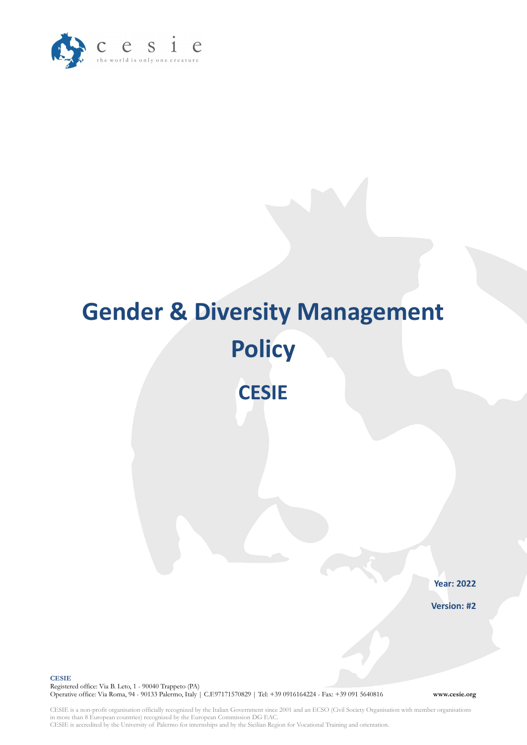

# **Gender & Diversity Management Policy CESIE**

**Year: 2022**

**Version: #2**

**CESIE** Registered office: Via B. Leto, 1 - 90040 Trappeto (PA) Operative office: Via Roma, 94 - 90133 Palermo, Italy | C.F.97171570829 | Tel: +39 0916164224 - Fax: +39 091 5640816 **www.cesie.org**

CESIE is a non-profit organisation officially recognized by the Italian Government since 2001 and an ECSO (Civil Society Organisation with member organisations in more than 8 European countries) recognized by the European Commission DG EAC. CESIE is accredited by the University of Palermo for internships and by the Sicilian Region for Vocational Training and orientation.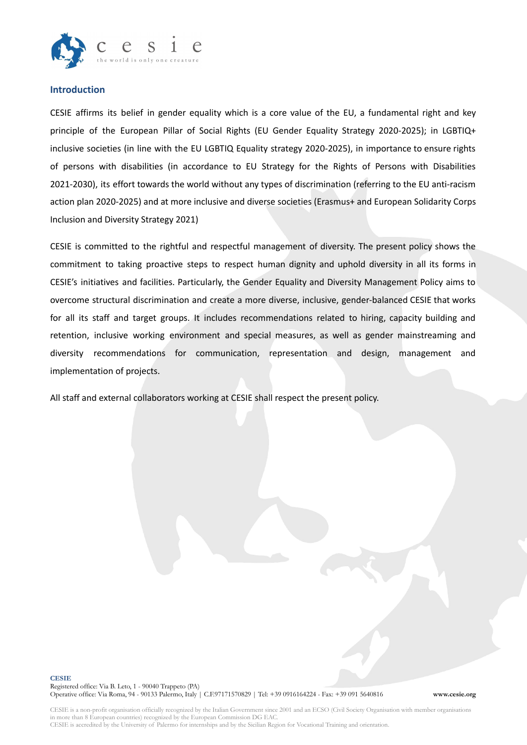

### **Introduction**

CESIE affirms its belief in gender equality which is a core value of the EU, a fundamental right and key principle of the European Pillar of Social Rights (EU Gender Equality Strategy 2020-2025); in LGBTIQ+ inclusive societies (in line with the EU LGBTIQ Equality strategy 2020-2025), in importance to ensure rights of persons with disabilities (in accordance to EU Strategy for the Rights of Persons with Disabilities 2021-2030), its effort towards the world without any types of discrimination (referring to the EU anti-racism action plan 2020-2025) and at more inclusive and diverse societies (Erasmus+ and European Solidarity Corps Inclusion and Diversity Strategy 2021)

CESIE is committed to the rightful and respectful management of diversity. The present policy shows the commitment to taking proactive steps to respect human dignity and uphold diversity in all its forms in CESIE's initiatives and facilities. Particularly, the Gender Equality and Diversity Management Policy aims to overcome structural discrimination and create a more diverse, inclusive, gender-balanced CESIE that works for all its staff and target groups. It includes recommendations related to hiring, capacity building and retention, inclusive working environment and special measures, as well as gender mainstreaming and diversity recommendations for communication, representation and design, management and implementation of projects.

All staff and external collaborators working at CESIE shall respect the present policy.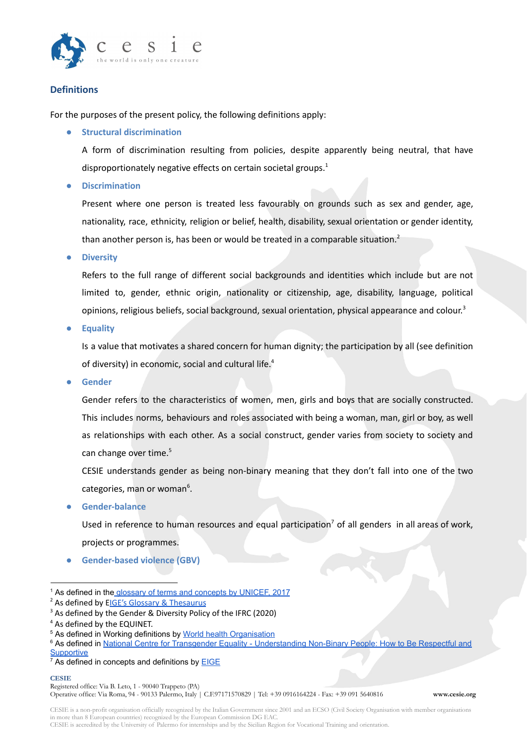

# **Definitions**

For the purposes of the present policy, the following definitions apply:

**● Structural discrimination**

A form of discrimination resulting from policies, despite apparently being neutral, that have disproportionately negative effects on certain societal groups. 1

**● Discrimination**

Present where one person is treated less favourably on grounds such as sex and gender, age, nationality, race, ethnicity, religion or belief, health, disability, sexual orientation or gender identity, than another person is, has been or would be treated in a comparable situation.<sup>2</sup>

**● Diversity**

Refers to the full range of different social backgrounds and identities which include but are not limited to, gender, ethnic origin, nationality or citizenship, age, disability, language, political opinions, religious beliefs, social background, sexual orientation, physical appearance and colour.<sup>3</sup>

**● Equality**

Is a value that motivates a shared concern for human dignity; the participation by all (see definition of diversity) in economic, social and cultural life. 4

**● Gender**

Gender refers to the characteristics of women, men, girls and boys that are socially constructed. This includes norms, behaviours and roles associated with being a woman, man, girl or boy, as well as relationships with each other. As a social construct, gender varies from society to society and can change over time. 5

CESIE understands gender as being non-binary meaning that they don't fall into one of the two categories, man or woman<sup>6</sup>.

**● Gender-balance**

Used in reference to human resources and equal participation<sup>7</sup> of all genders in all areas of work, projects or programmes.

**● Gender-based violence (GBV)**

#### **CESIE**

Registered office: Via B. Leto, 1 - 90040 Trappeto (PA)

Operative office: Via Roma, 94 - 90133 Palermo, Italy | C.F.97171570829 | Tel: +39 0916164224 - Fax: +39 091 5640816 **www.cesie.org**

CESIE is a non-profit organisation officially recognized by the Italian Government since 2001 and an ECSO (Civil Society Organisation with member organisations in more than 8 European countries) recognized by the European Commission DG EAC.

<sup>&</sup>lt;sup>1</sup> As defined in the [glossary of terms and concepts](https://www.unicef.org/rosa/media/1761/file/Gender%20glossary%20of%20terms%20and%20concepts%20.pdf) by UNICEF, 2017

<sup>&</sup>lt;sup>2</sup> As defined by EIGE's Glossary & [Thesaurus](https://eige.europa.eu/thesaurus/terms/1081)

<sup>&</sup>lt;sup>3</sup> As defined by the Gender & Diversity Policy of the IFRC (2020)

<sup>4</sup> As defined by the EQUINET.

<sup>&</sup>lt;sup>5</sup> As defined in Working definitions by World health [Organisation](https://www.who.int/health-topics/gender#tab=tab_1)

<sup>&</sup>lt;sup>6</sup> As defined in National Centre for Transgender Equality [- Understanding Non-Binary People: How to Be Respectful and](https://transequality.org/issues/resources/understanding-non-binary-people-how-to-be-respectful-and-supportive) **[Supportive](https://transequality.org/issues/resources/understanding-non-binary-people-how-to-be-respectful-and-supportive)** 

 $<sup>7</sup>$  As defined in concepts and definitions by **[EIGE](https://eige.europa.eu/gender-mainstreaming/concepts-and-definitions#:~:text=Gender%20balance,of%20work%2C%20projects%20or%20programmes.)**</sup>

CESIE is accredited by the University of Palermo for internships and by the Sicilian Region for Vocational Training and orientation.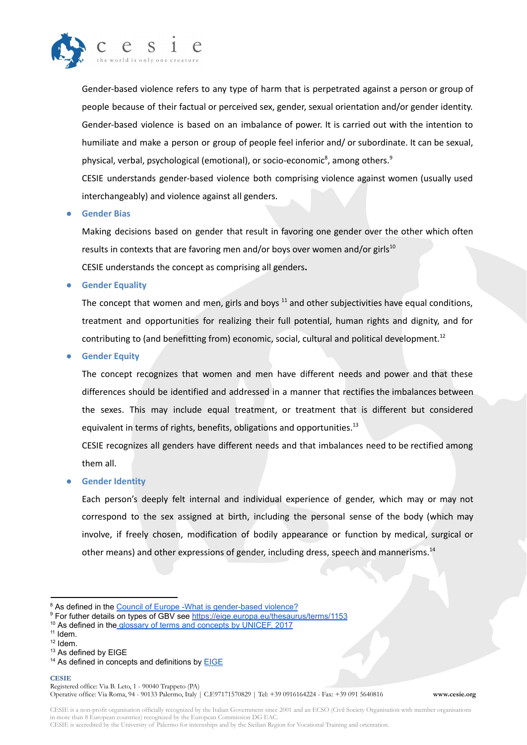

Gender-based violence refers to any type of harm that is perpetrated against a person or group of people because of their factual or perceived sex, gender, sexual orientation and/or gender identity. Gender-based violence is based on an imbalance of power. It is carried out with the intention to humiliate and make a person or group of people feel inferior and/ or subordinate. It can be sexual, physical, verbal, psychological (emotional), or socio-economic<sup>8</sup>, among others.<sup>9</sup>

CESIE understands gender-based violence both comprising violence against women (usually used interchangeably) and violence against all genders.

#### **● Gender Bias**

Making decisions based on gender that result in favoring one gender over the other which often results in contexts that are favoring men and/or boys over women and/or girls<sup>10</sup> CESIE understands the concept as comprising all genders**.**

**● Gender Equality**

The concept that women and men, girls and boys <sup>11</sup> and other subjectivities have equal conditions, treatment and opportunities for realizing their full potential, human rights and dignity, and for contributing to (and benefitting from) economic, social, cultural and political development.<sup>12</sup>

**● Gender Equity**

The concept recognizes that women and men have different needs and power and that these differences should be identified and addressed in a manner that rectifies the imbalances between the sexes. This may include equal treatment, or treatment that is different but considered equivalent in terms of rights, benefits, obligations and opportunities.<sup>13</sup>

CESIE recognizes all genders have different needs and that imbalances need to be rectified among them all.

**● Gender Identity**

Each person's deeply felt internal and individual experience of gender, which may or may not correspond to the sex assigned at birth, including the personal sense of the body (which may involve, if freely chosen, modification of bodily appearance or function by medical, surgical or other means) and other expressions of gender, including dress, speech and mannerisms.<sup>14</sup>

#### **CESIE** Registered office: Via B. Leto, 1 - 90040 Trappeto (PA)

Operative office: Via Roma, 94 - 90133 Palermo, Italy | C.F.97171570829 | Tel: +39 0916164224 - Fax: +39 091 5640816 **www.cesie.org**

CESIE is a non-profit organisation officially recognized by the Italian Government since 2001 and an ECSO (Civil Society Organisation with member organisations in more than 8 European countries) recognized by the European Commission DG EAC. CESIE is accredited by the University of Palermo for internships and by the Sicilian Region for Vocational Training and orientation.

<sup>&</sup>lt;sup>8</sup> As defined in the [Council of Europe -What is gender-based](https://www.coe.int/en/web/gender-matters/what-is-gender-based-violence) violence?

<sup>&</sup>lt;sup>9</sup> For futher details on types of GBV see <https://eige.europa.eu/thesaurus/terms/1153>

<sup>&</sup>lt;sup>10</sup> As defined in the [glossary of terms and concepts](https://www.unicef.org/rosa/media/1761/file/Gender%20glossary%20of%20terms%20and%20concepts%20.pdf) by UNICEF, 2017

<sup>&</sup>lt;sup>11</sup> Idem.

 $12$  Idem.

<sup>13</sup> As defined by [EIGE](https://eige.europa.eu/thesaurus/terms/1175?lang=en)

 $14$  As defined in concepts and definitions by **[EIGE](https://eige.europa.eu/thesaurus/terms/1179)**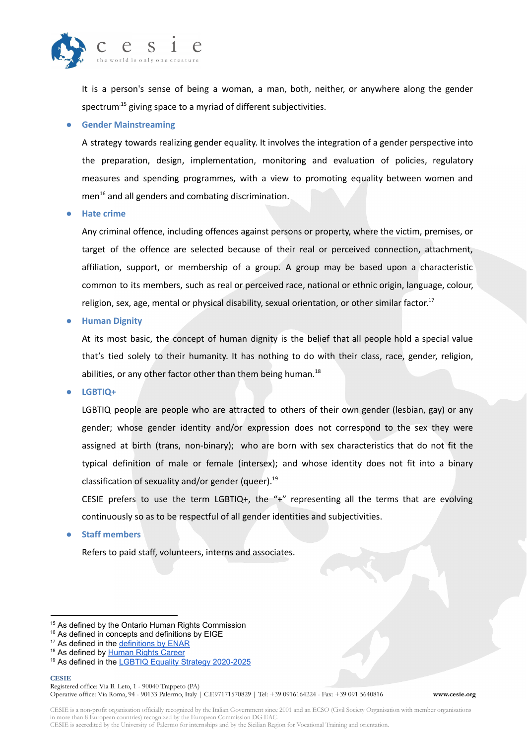

It is a person's sense of being a woman, a man, both, neither, or anywhere along the gender spectrum<sup>15</sup> giving space to a myriad of different subjectivities.

#### **● Gender Mainstreaming**

A strategy towards realizing gender equality. It involves the integration of a gender perspective into the preparation, design, implementation, monitoring and evaluation of policies, regulatory measures and spending programmes, with a view to promoting equality between women and men <sup>16</sup> and all genders and combating discrimination.

**● Hate crime**

Any criminal offence, including offences against persons or property, where the victim, premises, or target of the offence are selected because of their real or perceived connection, attachment, affiliation, support, or membership of a group. A group may be based upon a characteristic common to its members, such as real or perceived race, national or ethnic origin, language, colour, religion, sex, age, mental or physical disability, sexual orientation, or other similar factor.<sup>17</sup>

**● Human Dignity**

At its most basic, the concept of human dignity is the belief that all people hold a special value that's tied solely to their humanity. It has nothing to do with their class, race, gender, religion, abilities, or any other factor other than them being human.<sup>18</sup>

**● LGBTIQ+**

LGBTIQ people are people who are attracted to others of their own gender (lesbian, gay) or any gender; whose gender identity and/or expression does not correspond to the sex they were assigned at birth (trans, non-binary); who are born with sex characteristics that do not fit the typical definition of male or female (intersex); and whose identity does not fit into a binary classification of sexuality and/or gender (queer). 19

CESIE prefers to use the term LGBTIQ+, the "+" representing all the terms that are evolving continuously so as to be respectful of all gender identities and subjectivities.

**● Staff members**

Refers to paid staff, volunteers, interns and associates.

<sup>&</sup>lt;sup>15</sup> As defined by the [Ontario Human Rights Commission](https://www.ohrc.on.ca/en/policy-preventing-discrimination-because-gender-identity-and-gender-expression/3-gender-identity-and-gender-expression#:~:text=Sex%20is%20the%20anatomical%20classification,anywhere%20along%20the%20gender%20spectrum.)

<sup>&</sup>lt;sup>16</sup> As defined in concepts and definitions by EIGE

<sup>&</sup>lt;sup>17</sup> As defined in the [definitions by ENAR](https://www.enar-eu.org/Frequently-asked-questions-1004)

<sup>&</sup>lt;sup>18</sup> As defined by **[Human Rights Career](https://www.humanrightscareers.com/issues/definitions-what-is-human-dignity/)** 

<sup>&</sup>lt;sup>19</sup> As defined in the **[LGBTIQ Equality Strategy 2020-2025](https://ec.europa.eu/info/sites/default/files/lgbtiq_strategy_2020-2025_en.pdf)**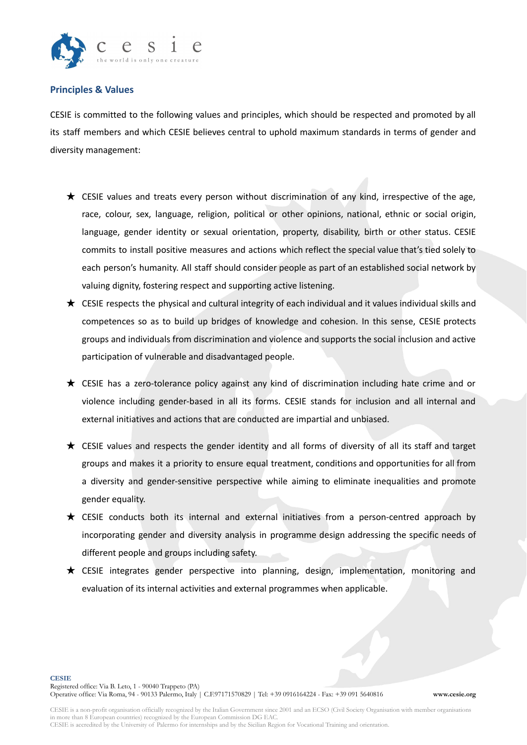

# **Principles & Values**

CESIE is committed to the following values and principles, which should be respected and promoted by all its staff members and which CESIE believes central to uphold maximum standards in terms of gender and diversity management:

- $\star$  CESIE values and treats every person without discrimination of any kind, irrespective of the age, race, colour, sex, language, religion, political or other opinions, national, ethnic or social origin, language, gender identity or sexual orientation, property, disability, birth or other status. CESIE commits to install positive measures and actions which reflect the special value that's tied solely to each person's humanity. All staff should consider people as part of an established social network by valuing dignity, fostering respect and supporting active listening.
- $\star$  CESIE respects the physical and cultural integrity of each individual and it values individual skills and competences so as to build up bridges of knowledge and cohesion. In this sense, CESIE protects groups and individuals from discrimination and violence and supports the social inclusion and active participation of vulnerable and disadvantaged people.
- $\bigstar$  CESIE has a zero-tolerance policy against any kind of discrimination including hate crime and or violence including gender-based in all its forms. CESIE stands for inclusion and all internal and external initiatives and actions that are conducted are impartial and unbiased.
- ★ CESIE values and respects the gender identity and all forms of diversity of all its staff and target groups and makes it a priority to ensure equal treatment, conditions and opportunities for all from a diversity and gender-sensitive perspective while aiming to eliminate inequalities and promote gender equality.
- ★ CESIE conducts both its internal and external initiatives from a person-centred approach by incorporating gender and diversity analysis in programme design addressing the specific needs of different people and groups including safety.
- ★ CESIE integrates gender perspective into planning, design, implementation, monitoring and evaluation of its internal activities and external programmes when applicable.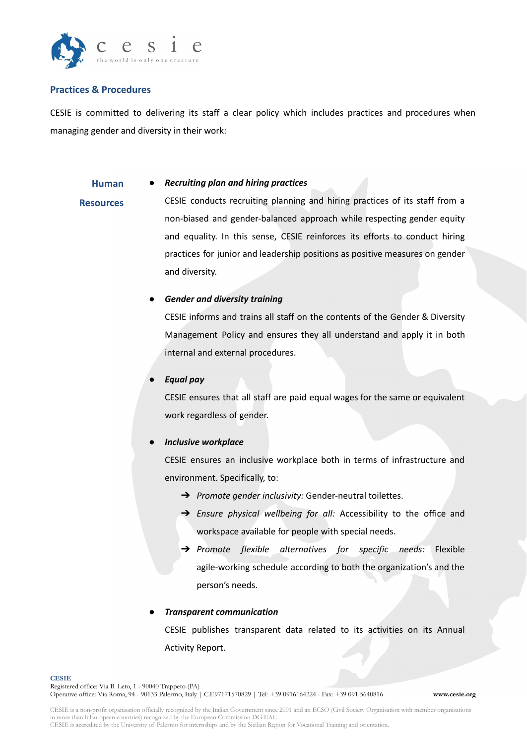

## **Practices & Procedures**

CESIE is committed to delivering its staff a clear policy which includes practices and procedures when managing gender and diversity in their work:

#### **Human** ● *Recruiting plan and hiring practices*

**Resources** CESIE conducts recruiting planning and hiring practices of its staff from a non-biased and gender-balanced approach while respecting gender equity and equality. In this sense, CESIE reinforces its efforts to conduct hiring practices for junior and leadership positions as positive measures on gender and diversity.

### *● Gender and diversity training*

CESIE informs and trains all staff on the contents of the Gender & Diversity Management Policy and ensures they all understand and apply it in both internal and external procedures.

#### *● Equal pay*

CESIE ensures that all staff are paid equal wages for the same or equivalent work regardless of gender.

#### *● Inclusive workplace*

CESIE ensures an inclusive workplace both in terms of infrastructure and environment. Specifically, to:

- ➔ *Promote gender inclusivity:* Gender-neutral toilettes.
- ➔ *Ensure physical wellbeing for all:* Accessibility to the office and workspace available for people with special needs.
- ➔ *Promote flexible alternatives for specific needs:* Flexible agile-working schedule according to both the organization's and the person's needs.

#### ● *Transparent communication*

CESIE publishes transparent data related to its activities on its Annual Activity Report.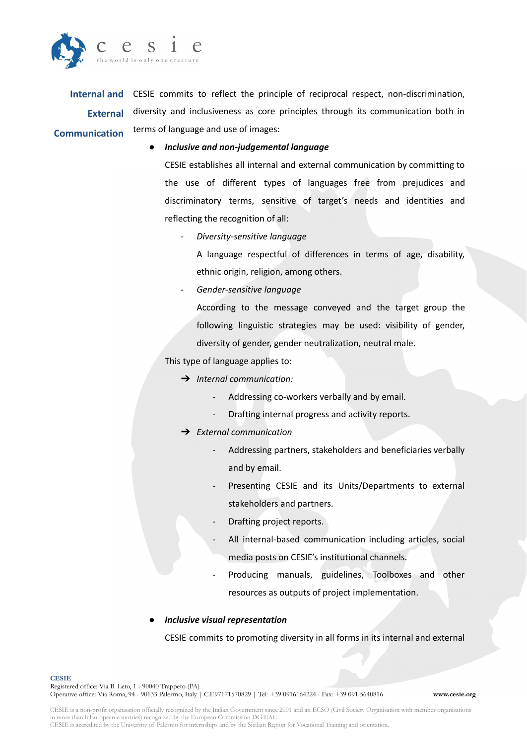

**Internal and** CESIE commits to reflect the principle of reciprocal respect, non-discrimination, **External Communication** diversity and inclusiveness as core principles through its communication both in terms of language and use of images:

#### ● *Inclusive and non-judgemental language*

CESIE establishes all internal and external communication by committing to the use of different types of languages free from prejudices and discriminatory terms, sensitive of target's needs and identities and reflecting the recognition of all:

*- Diversity-sensitive language*

A language respectful of differences in terms of age, disability, ethnic origin, religion, among others.

*- Gender-sensitive language*

According to the message conveyed and the target group the following linguistic strategies may be used: visibility of gender, diversity of gender, gender neutralization, neutral male.

This type of language applies to:

- ➔ *Internal communication:*
	- Addressing co-workers verbally and by email.
	- Drafting internal progress and activity reports.
- ➔ *External communication*
	- Addressing partners, stakeholders and beneficiaries verbally and by email.
	- Presenting CESIE and its Units/Departments to external stakeholders and partners.
	- Drafting project reports.
	- All internal-based communication including articles, social media posts on CESIE's institutional channels.
	- Producing manuals, guidelines, Toolboxes and other resources as outputs of project implementation.

#### ● *Inclusive visual representation*

CESIE commits to promoting diversity in all forms in its internal and external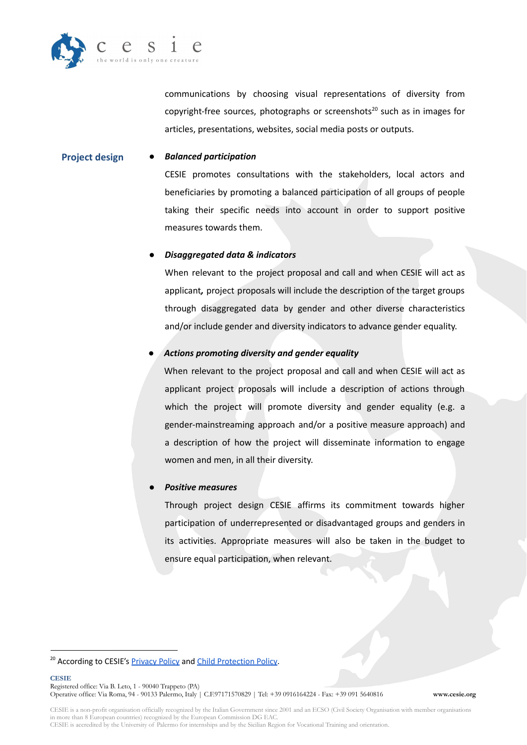

communications by choosing visual representations of diversity from copyright-free sources, photographs or screenshots<sup>20</sup> such as in images for articles, presentations, websites, social media posts or outputs.

#### **Project design** *● Balanced participation*

CESIE promotes consultations with the stakeholders, local actors and beneficiaries by promoting a balanced participation of all groups of people taking their specific needs into account in order to support positive measures towards them.

### *● Disaggregated data & indicators*

When relevant to the project proposal and call and when CESIE will act as applicant*,* project proposals will include the description of the target groups through disaggregated data by gender and other diverse characteristics and/or include gender and diversity indicators to advance gender equality.

# *● Actions promoting diversity and gender equality*

When relevant to the project proposal and call and when CESIE will act as applicant project proposals will include a description of actions through which the project will promote diversity and gender equality (e.g. a gender-mainstreaming approach and/or a positive measure approach) and a description of how the project will disseminate information to engage women and men, in all their diversity.

### *● Positive measures*

Through project design CESIE affirms its commitment towards higher participation of underrepresented or disadvantaged groups and genders in its activities. Appropriate measures will also be taken in the budget to ensure equal participation, when relevant.

<sup>&</sup>lt;sup>20</sup> According to CESIE's [Privacy](https://cesie.org/en/privacy-policy/) Policy and Child [Protection](https://cesie.org/en/child-protection-policy/) Policy.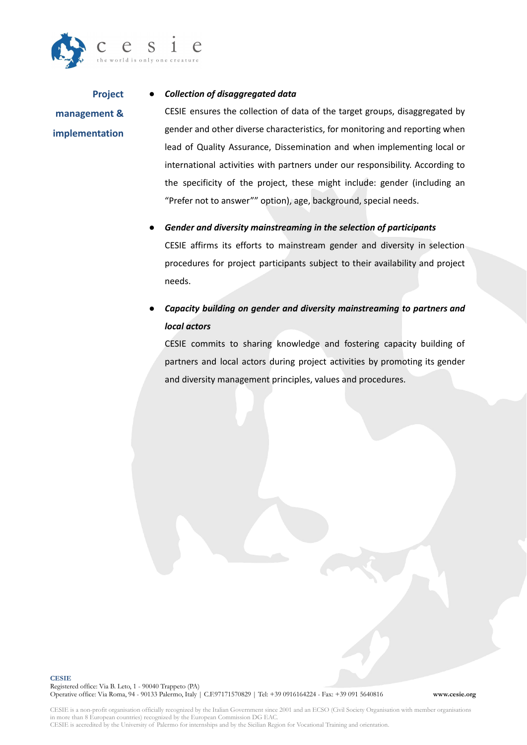

**Project management & implementation**

#### *● Collection of disaggregated data*

CESIE ensures the collection of data of the target groups, disaggregated by gender and other diverse characteristics, for monitoring and reporting when lead of Quality Assurance, Dissemination and when implementing local or international activities with partners under our responsibility. According to the specificity of the project, these might include: gender (including an "Prefer not to answer"" option), age, background, special needs.

# *● Gender and diversity mainstreaming in the selection of participants*

CESIE affirms its efforts to mainstream gender and diversity in selection procedures for project participants subject to their availability and project needs.

# ● *Capacity building on gender and diversity mainstreaming to partners and local actors*

CESIE commits to sharing knowledge and fostering capacity building of partners and local actors during project activities by promoting its gender and diversity management principles, values and procedures.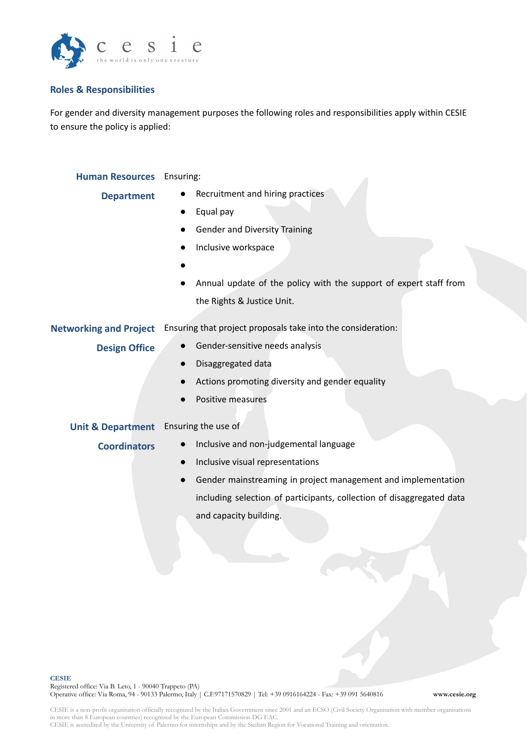

# **Roles & Responsibilities**

For gender and diversity management purposes the following roles and responsibilities apply within CESIE to ensure the policy is applied:

| <b>Human Resources</b> Ensuring: |                                                                            |  |  |  |  |
|----------------------------------|----------------------------------------------------------------------------|--|--|--|--|
| <b>Department</b>                | Recruitment and hiring practices                                           |  |  |  |  |
|                                  | Equal pay                                                                  |  |  |  |  |
|                                  | <b>Gender and Diversity Training</b>                                       |  |  |  |  |
|                                  | Inclusive workspace                                                        |  |  |  |  |
|                                  |                                                                            |  |  |  |  |
|                                  | Annual update of the policy with the support of expert staff from          |  |  |  |  |
|                                  | the Rights & Justice Unit.                                                 |  |  |  |  |
| <b>Networking and Project</b>    | Ensuring that project proposals take into the consideration:               |  |  |  |  |
| <b>Design Office</b>             | Gender-sensitive needs analysis                                            |  |  |  |  |
|                                  | Disaggregated data                                                         |  |  |  |  |
|                                  | Actions promoting diversity and gender equality                            |  |  |  |  |
|                                  | Positive measures                                                          |  |  |  |  |
|                                  |                                                                            |  |  |  |  |
| <b>Unit &amp; Department</b>     | Ensuring the use of                                                        |  |  |  |  |
| <b>Coordinators</b>              | Inclusive and non-judgemental language                                     |  |  |  |  |
|                                  | Inclusive visual representations<br>$\bullet$                              |  |  |  |  |
|                                  | Gender mainstreaming in project management and implementation<br>$\bullet$ |  |  |  |  |
|                                  | including selection of participants, collection of disaggregated data      |  |  |  |  |
|                                  | and capacity building.                                                     |  |  |  |  |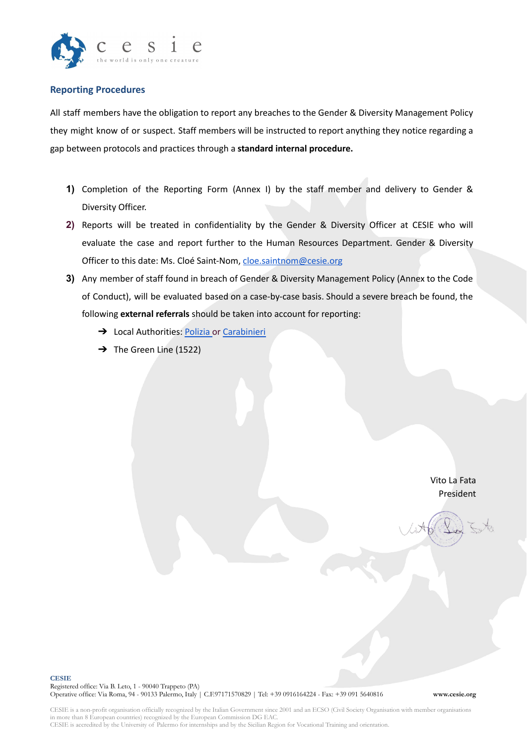

# **Reporting Procedures**

All staff members have the obligation to report any breaches to the Gender & Diversity Management Policy they might know of or suspect. Staff members will be instructed to report anything they notice regarding a gap between protocols and practices through a **standard internal procedure.**

- **1)** Completion of the Reporting Form (Annex I) by the staff member and delivery to Gender & Diversity Officer.
- **2)** Reports will be treated in confidentiality by the Gender & Diversity Officer at CESIE who will evaluate the case and report further to the Human Resources Department. Gender & Diversity Officer to this date: Ms. Cloé Saint-Nom, [cloe.saintnom@cesie.org](mailto:cloe.saintnom@cesie.org)
- **3)** Any member of staff found in breach of Gender & Diversity Management Policy (Annex to the Code of Conduct), will be evaluated based on a case-by-case basis. Should a severe breach be found, the following **external referrals** should be taken into account for reporting:
	- → Local Authorities: [Polizia](https://www.poliziadistato.it/) or [Carabinieri](https://www.carabinieri.it/contatti)
	- $\rightarrow$  The Green Line (1522)

Vito La Fata President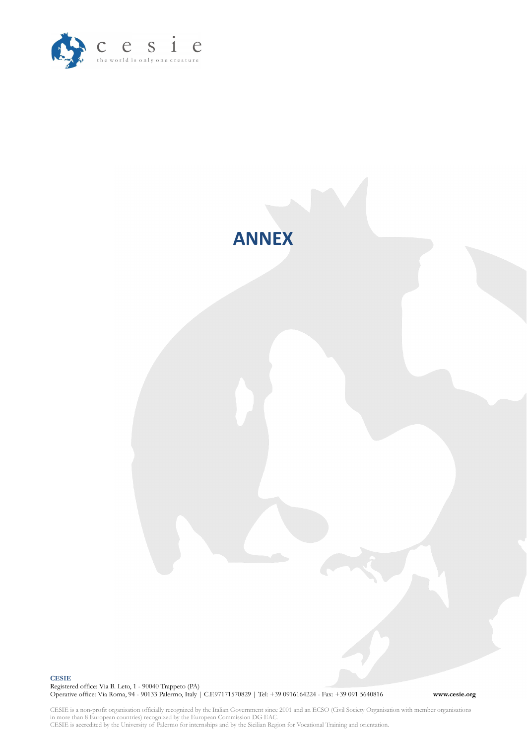



**CESIE** Registered office: Via B. Leto, 1 - 90040 Trappeto (PA) Operative office: Via Roma, 94 - 90133 Palermo, Italy | C.F.97171570829 | Tel: +39 0916164224 - Fax: +39 091 5640816 **www.cesie.org**

CESIE is a non-profit organisation officially recognized by the Italian Government since 2001 and an ECSO (Civil Society Organisation with member organisations in more than 8 European countries) recognized by the European Commission DG EAC. CESIE is accredited by the University of Palermo for internships and by the Sicilian Region for Vocational Training and orientation.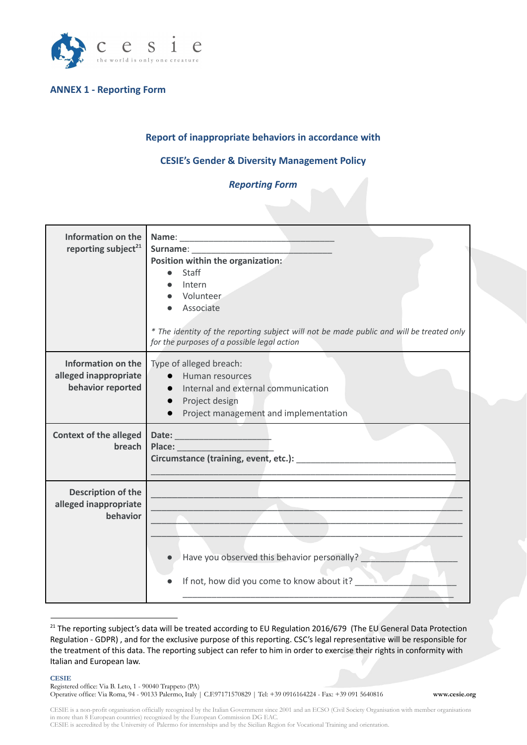

# **ANNEX 1 - Reporting Form**

# **Report of inappropriate behaviors in accordance with**

# **CESIE's Gender & Diversity Management Policy**

#### *Reporting Form*

| <b>Information on the</b><br>reporting subject <sup>21</sup>            | Name:<br>Position within the organization:<br>Staff<br>Intern<br>Volunteer<br>Associate<br>* The identity of the reporting subject will not be made public and will be treated only<br>for the purposes of a possible legal action |
|-------------------------------------------------------------------------|------------------------------------------------------------------------------------------------------------------------------------------------------------------------------------------------------------------------------------|
| <b>Information on the</b><br>alleged inappropriate<br>behavior reported | Type of alleged breach:<br>Human resources<br>Internal and external communication<br>$\bullet$<br>Project design<br>$\bullet$<br>Project management and implementation                                                             |
| <b>Context of the alleged</b><br>breach                                 | Place:<br>Circumstance (training, event, etc.):                                                                                                                                                                                    |
| Description of the<br>alleged inappropriate<br>behavior                 | Have you observed this behavior personally?<br>If not, how did you come to know about it?                                                                                                                                          |

<sup>&</sup>lt;sup>21</sup> The reporting subject's data will be treated according to EU Regulation 2016/679 (The EU General Data Protection Regulation - GDPR) , and for the exclusive purpose of this reporting. CSC's legal representative will be responsible for the treatment of this data. The reporting subject can refer to him in order to exercise their rights in conformity with Italian and European law.